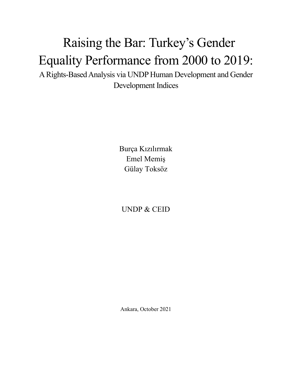## Raising the Bar: Turkey's Gender Equality Performance from 2000 to 2019:

A Rights-Based Analysis via UNDP Human Development and Gender Development Indices

> Burça Kızılırmak Emel Memiş Gülay Toksöz

UNDP & CEID

Ankara, October 2021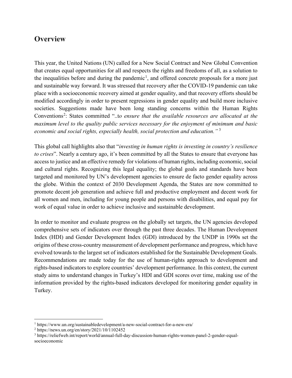## **Overview**

This year, the United Nations (UN) called for a New Social Contract and New Global Convention that creates equal opportunities for all and respects the rights and freedoms of all, as a solution to the inequalities before and during the pandemic<sup>[1](#page-1-0)</sup>, and offered concrete proposals for a more just and sustainable way forward. It was stressed that recovery after the COVID-19 pandemic can take place with a socioeconomic recovery aimed at gender equality, and that recovery efforts should be modified accordingly in order to present regressions in gender equality and build more inclusive societies. Suggestions made have been long standing concerns within the Human Rights Conventions<sup>[2](#page-1-1)</sup>: States committed "..to ensure that the available resources are allocated at the *maximum level to the quality public services necessary for the enjoyment of minimum and basic economic and social rights, especially health, social protection and education."* [3](#page-1-2)

This global call highlights also that "*investing in human rights is investing in country's resilience to crises*". Nearly a century ago, it's been committed by all the States to ensure that everyone has access to justice and an effective remedy for violations of human rights, including economic, social and cultural rights. Recognizing this legal equality; the global goals and standards have been targeted and monitored by UN's development agencies to ensure de facto gender equality across the globe. Within the context of 2030 Development Agenda, the States are now committed to promote decent job generation and achieve full and productive employment and decent work for all women and men, including for young people and persons with disabilities, and equal pay for work of equal value in order to achieve inclusive and sustainable development.

In order to monitor and evaluate progress on the globally set targets, the UN agencies developed comprehensive sets of indicators over through the past three decades. The Human Development Index (HDI) and Gender Development Index (GDI) introduced by the UNDP in 1990s set the origins of these cross-country measurement of development performance and progress, which have evolved towards to the largest set of indicators established for the Sustainable Development Goals. Recommendations are made today for the use of human-rights approach to development and rights-based indicators to explore countries' development performance. In this context, the current study aims to understand changes in Turkey's HDI and GDI scores over time, making use of the information provided by the rights-based indicators developed for monitoring gender equality in Turkey.

<span id="page-1-0"></span><sup>1</sup> https://www.un.org/sustainabledevelopment/a-new-social-contract-for-a-new-era/

<span id="page-1-1"></span><sup>2</sup> https://news.un.org/en/story/2021/10/1102452

<span id="page-1-2"></span><sup>3</sup> https://reliefweb.int/report/world/annual-full-day-discussion-human-rights-women-panel-2-gender-equalsocioeconomic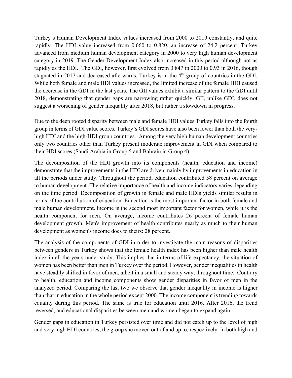Turkey's Human Development Index values increased from 2000 to 2019 constantly, and quite rapidly. The HDI value increased from 0.660 to 0.820, an increase of 24.2 percent. Turkey advanced from medium human development category in 2000 to very high human development category in 2019. The Gender Development Index also increased in this period although not as rapidly as the HDI. The GDI, however, first evolved from 0.847 in 2000 to 0.93 in 2016, though stagnated in 2017 and decreased afterwards. Turkey is in the 4<sup>th</sup> group of countries in the GDI. While both female and male HDI values increased, the limited increase of the female HDI caused the decrease in the GDI in the last years. The GII values exhibit a similar pattern to the GDI until 2018, demonstrating that gender gaps are narrowing rather quickly. GII, unlike GDI, does not suggest a worsening of gender inequality after 2018, but rather a slowdown in progress.

Due to the deep rooted disparity between male and female HDI values Turkey falls into the fourth group in terms of GDI value scores. Turkey's GDI scores have also been lower than both the veryhigh HDI and the high-HDI group countries. Among the very high human development countries only two countries other than Turkey present moderate improvement in GDI when compared to their HDI scores (Saudi Arabia in Group 5 and Bahrain in Group 4).

The decomposition of the HDI growth into its components (health, education and income) demonstrate that the improvements in the HDI are driven mainly by improvements in education in all the periods under study. Throughout the period, education contributed 58 percent on average to human development. The relative importance of health and income indicators varies depending on the time period. Decomposition of growth in female and male HDIs yields similar results in terms of the contribution of education. Education is the most important factor in both female and male human development. Income is the second most important factor for women, while it is the health component for men. On average, income contributes 26 percent of female human development growth. Men's improvement of health contributes nearly as much to their human development as women's income does to theirs: 28 percent.

The analysis of the components of GDI in order to investigate the main reasons of disparities between genders in Turkey shows that the female health index has been higher than male health index in all the years under study. This implies that in terms of life expectancy, the situation of women has been better than men in Turkey over the period. However, gender inequalities in health have steadily shifted in favor of men, albeit in a small and steady way, throughout time. Contrary to health, education and income components show gender disparities in favor of men in the analyzed period. Comparing the last two we observe that gender inequality in income is higher than that in education in the whole period except 2000. The income component is trending towards equality during this period. The same is true for education until 2016. After 2016, the trend reversed, and educational disparities between men and women began to expand again.

Gender gaps in education in Turkey persisted over time and did not catch up to the level of high and very high HDI countries, the group she moved out of and up to, respectively. In both high and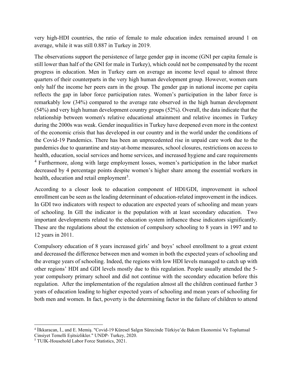very high-HDI countries, the ratio of female to male education index remained around 1 on average, while it was still 0.887 in Turkey in 2019.

The observations support the persistence of large gender gap in income (GNI per capita female is still lower than half of the GNI for male in Turkey), which could not be compensated by the recent progress in education. Men in Turkey earn on average an income level equal to almost three quarters of their counterparts in the very high human development group. However, women earn only half the income her peers earn in the group. The gender gap in national income per capita reflects the gap in labor force participation rates. Women's participation in the labor force is remarkably low (34%) compared to the average rate observed in the high human development (54%) and very high human development country groups (52%). Overall, the data indicate that the relationship between women's relative educational attainment and relative incomes in Turkey during the 2000s was weak. Gender inequalities in Turkey have deepened even more in the context of the economic crisis that has developed in our country and in the world under the conditions of the Covid-19 Pandemics. There has been an unprecedented rise in unpaid care work due to the pandemics due to quarantine and stay-at-home measures, school closures, restrictions on access to health, education, social services and home services, and increased hygiene and care requirements <sup>[4](#page-3-0)</sup> Furthermore, along with large employment losses, women's participation in the labor market decreased by 4 percentage points despite women's higher share among the essential workers in health, education and retail employment<sup>[5](#page-3-1)</sup>.

According to a closer look to education component of HDI/GDI, improvement in school enrollment can be seen as the leading determinant of education-related improvement in the indices. In GDI two indicators with respect to education are expected years of schooling and mean years of schooling. In GII the indicator is the population with at least secondary education. Two important developments related to the education system influence these indicators significantly. These are the regulations about the extension of compulsory schooling to 8 years in 1997 and to 12 years in 2011.

Compulsory education of 8 years increased girls' and boys' school enrollment to a great extent and decreased the difference between men and women in both the expected years of schooling and the average years of schooling. Indeed, the regions with low HDI levels managed to catch up with other regions' HDI and GDI levels mostly due to this regulation. People usually attended the 5 year compulsory primary school and did not continue with the secondary education before this regulation. After the implementation of the regulation almost all the children continued further 3 years of education leading to higher expected years of schooling and mean years of schooling for both men and women. In fact, poverty is the determining factor in the failure of children to attend

<span id="page-3-0"></span><sup>4</sup> İlkkaracan, İ., and E. Memiş. "Covid-19 Küresel Salgın Sürecinde Türkiye'de Bakım Ekonomisi Ve Toplumsal Cinsiyet Temelli Eşitsizlikler." UNDP- Turkey, 2020.

<span id="page-3-1"></span><sup>5</sup> TUIK-Household Labor Force Statistics, 2021.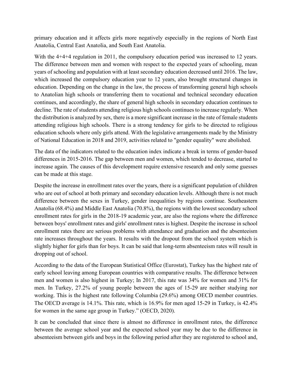primary education and it affects girls more negatively especially in the regions of North East Anatolia, Central East Anatolia, and South East Anatolia.

With the 4+4+4 regulation in 2011, the compulsory education period was increased to 12 years. The difference between men and women with respect to the expected years of schooling, mean years of schooling and population with at least secondary education decreased until 2016. The law, which increased the compulsory education year to 12 years, also brought structural changes in education. Depending on the change in the law, the process of transforming general high schools to Anatolian high schools or transferring them to vocational and technical secondary education continues, and accordingly, the share of general high schools in secondary education continues to decline. The rate of students attending religious high schools continues to increase regularly. When the distribution is analyzed by sex, there is a more significant increase in the rate of female students attending religious high schools. There is a strong tendency for girls to be directed to religious education schools where only girls attend. With the legislative arrangements made by the Ministry of National Education in 2018 and 2019, activities related to "gender equality" were abolished.

The data of the indicators related to the education index indicate a break in terms of gender-based differences in 2015-2016. The gap between men and women, which tended to decrease, started to increase again. The causes of this development require extensive research and only some guesses can be made at this stage.

Despite the increase in enrollment rates over the years, there is a significant population of children who are out of school at both primary and secondary education levels. Although there is not much difference between the sexes in Turkey, gender inequalities by regions continue. Southeastern Anatolia (68.4%) and Middle East Anatolia (70.8%), the regions with the lowest secondary school enrollment rates for girls in the 2018-19 academic year, are also the regions where the difference between boys' enrollment rates and girls' enrollment rates is highest. Despite the increase in school enrollment rates there are serious problems with attendance and graduation and the absenteeism rate increases throughout the years. It results with the dropout from the school system which is slightly higher for girls than for boys. It can be said that long-term absenteeism rates will result in dropping out of school.

According to the data of the European Statistical Office (Eurostat), Turkey has the highest rate of early school leaving among European countries with comparative results. The difference between men and women is also highest in Turkey; In 2017, this rate was 34% for women and 31% for men. In Turkey, 27.2% of young people between the ages of 15-29 are neither studying nor working. This is the highest rate following Columbia (29.6%) among OECD member countries. The OECD average is 14.1%. This rate, which is 16.9% for men aged 15-29 in Turkey, is 42.4% for women in the same age group in Turkey." (OECD, 2020).

It can be concluded that since there is almost no difference in enrollment rates, the difference between the average school year and the expected school year may be due to the difference in absenteeism between girls and boys in the following period after they are registered to school and,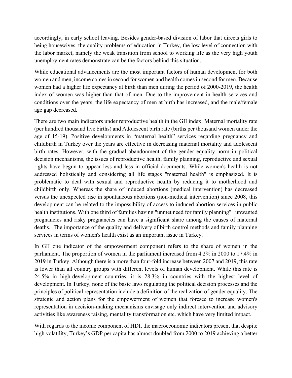accordingly, in early school leaving. Besides gender-based division of labor that directs girls to being housewives, the quality problems of education in Turkey, the low level of connection with the labor market, namely the weak transition from school to working life as the very high youth unemployment rates demonstrate can be the factors behind this situation.

While educational advancements are the most important factors of human development for both women and men, income comes in second for women and health comes in second for men. Because women had a higher life expectancy at birth than men during the period of 2000-2019, the health index of women was higher than that of men. Due to the improvement in health services and conditions over the years, the life expectancy of men at birth has increased, and the male/female age gap decreased.

There are two main indicators under reproductive health in the GII index: Maternal mortality rate (per hundred thousand live births) and Adolescent birth rate (births per thousand women under the age of 15-19). Positive developments in "maternal health" services regarding pregnancy and childbirth in Turkey over the years are effective in decreasing maternal mortality and adolescent birth rates. However, with the gradual abandonment of the gender equality norm in political decision mechanisms, the issues of reproductive health, family planning, reproductive and sexual rights have begun to appear less and less in official documents. While women's health is not addressed holistically and considering all life stages "maternal health" is emphasized. It is problematic to deal with sexual and reproductive health by reducing it to motherhood and childbirth only. Whereas the share of induced abortions (medical intervention) has decreased versus the unexpected rise in spontaneous abortions (non-medical intervention) since 2008, this development can be related to the impossibility of access to induced abortion services in public health institutions. With one third of families having "unmet need for family planning" unwanted pregnancies and risky pregnancies can have a significant share among the causes of maternal deaths. The importance of the quality and delivery of birth control methods and family planning services in terms of women's health exist as an important issue in Turkey.

In GII one indicator of the empowerment component refers to the share of women in the parliament. The proportion of women in the parliament increased from 4.2% in 2000 to 17.4% in 2019 in Turkey. Although there is a more than four-fold increase between 2007 and 2019, this rate is lower than all country groups with different levels of human development. While this rate is 24.5% in high-development countries, it is 28.3% in countries with the highest level of development. In Turkey, none of the basic laws regulating the political decision processes and the principles of political representation include a definition of the realization of gender equality. The strategic and action plans for the empowerment of women that foresee to increase women's representation in decision-making mechanisms envisage only indirect intervention and advisory activities like awareness raising, mentality transformation etc. which have very limited impact.

With regards to the income component of HDI, the macroeconomic indicators present that despite high volatility, Turkey's GDP per capita has almost doubled from 2000 to 2019 achieving a better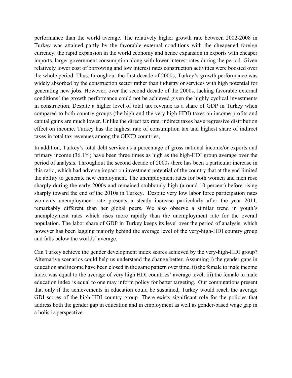performance than the world average. The relatively higher growth rate between 2002-2008 in Turkey was attained partly by the favorable external conditions with the cheapened foreign currency, the rapid expansion in the world economy and hence expansion in exports with cheaper imports, larger government consumption along with lower interest rates during the period. Given relatively lower cost of borrowing and low interest rates construction activities were boosted over the whole period. Thus, throughout the first decade of 2000s, Turkey's growth performance was widely absorbed by the construction sector rather than industry or services with high potential for generating new jobs. However, over the second decade of the 2000s, lacking favorable external conditions' the growth performance could not be achieved given the highly cyclical investments in construction. Despite a higher level of total tax revenue as a share of GDP in Turkey when compared to both country groups (the high and the very high-HDI) taxes on income profits and capital gains are much lower. Unlike the direct tax rate, indirect taxes have regressive distribution effect on income. Turkey has the highest rate of consumption tax and highest share of indirect taxes in total tax revenues among the OECD countries,

In addition, Turkey's total debt service as a percentage of gross national income/or exports and primary income (36.1%) have been three times as high as the high-HDI group average over the period of analysis. Throughout the second decade of 2000s there has been a particular increase in this ratio, which had adverse impact on investment potential of the country that at the end limited the ability to generate new employment. The unemployment rates for both women and men rose sharply during the early 2000s and remained stubbornly high (around 10 percent) before rising sharply toward the end of the 2010s in Turkey. Despite very low labor force participation rates women's unemployment rate presents a steady increase particularly after the year 2011, remarkably different than her global peers. We also observe a similar trend in youth's unemployment rates which rises more rapidly than the unemployment rate for the overall population. The labor share of GDP in Turkey keeps its level over the period of analysis, which however has been lagging majorly behind the average level of the very-high-HDI country group and falls below the worlds' average.

Can Turkey achieve the gender development index scores achieved by the very-high-HDI group? Alternative scenarios could help us understand the change better. Assuming i) the gender gaps in education and income have been closed in the same pattern over time, ii) the female to male income index was equal to the average of very high HDI countries' average level, iii) the female to male education index is equal to one may inform policy for better targeting. Our computations present that only if the achievements in education could be sustained, Turkey would reach the average GDI scores of the high-HDI country group. There exists significant role for the policies that address both the gender gap in education and in employment as well as gender-based wage gap in a holistic perspective.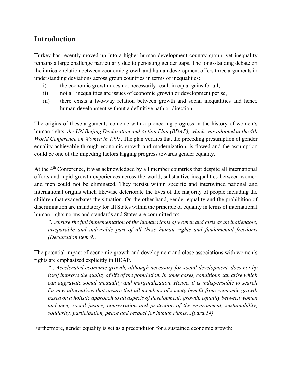## **Introduction**

Turkey has recently moved up into a higher human development country group, yet inequality remains a large challenge particularly due to persisting gender gaps. The long-standing debate on the intricate relation between economic growth and human development offers three arguments in understanding deviations across group countries in terms of inequalities:

- i) the economic growth does not necessarily result in equal gains for all,
- ii) not all inequalities are issues of economic growth or development per se,
- iii) there exists a two-way relation between growth and social inequalities and hence human development without a definitive path or direction.

The origins of these arguments coincide with a pioneering progress in the history of women's human rights: *the UN Beijing Declaration and Action Plan (BDAP), which was adopted at the 4th World Conference on Women in 1995*. The plan verifies that the preceding presumption of gender equality achievable through economic growth and modernization, is flawed and the assumption could be one of the impeding factors lagging progress towards gender equality.

At the 4<sup>th</sup> Conference, it was acknowledged by all member countries that despite all international efforts and rapid growth experiences across the world, substantive inequalities between women and men could not be eliminated. They persist within specific and intertwined national and international origins which likewise deteriorate the lives of the majority of people including the children that exacerbates the situation. On the other hand, gender equality and the prohibition of discrimination are mandatory for all States within the principle of equality in terms of international human rights norms and standards and States are committed to:

*"...ensure the full implementation of the human rights of women and girls as an inalienable, inseparable and indivisible part of all these human rights and fundamental freedoms (Declaration item 9).*

The potential impact of economic growth and development and close associations with women's rights are emphasized explicitly in BDAP*:* 

*"…Accelerated economic growth, although necessary for social development, does not by itself improve the quality of life of the population. In some cases, conditions can arise which can aggravate social inequality and marginalization. Hence, it is indispensable to search for new alternatives that ensure that all members of society benefit from economic growth based on a holistic approach to all aspects of development: growth, equality between women and men, social justice, conservation and protection of the environment, sustainability, solidarity, participation, peace and respect for human rights…(para.14)"* 

Furthermore, gender equality is set as a precondition for a sustained economic growth: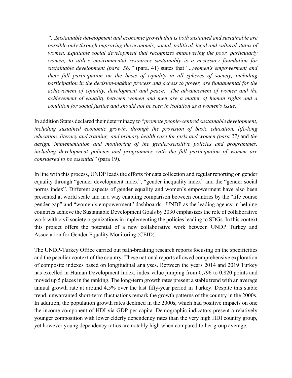*"...Sustainable development and economic growth that is both sustained and sustainable are possible only through improving the economic, social, political, legal and cultural status of women. Equitable social development that recognizes empowering the poor, particularly women, to utilize environmental resources sustainably is a necessary foundation for sustainable development (para. 56)"* (para. 41) states that "...*women's empowerment and their full participation on the basis of equality in all spheres of society, including participation in the decision-making process and access to power, are fundamental for the achievement of equality, development and peace*. *The advancement of women and the achievement of equality between women and men are a matter of human rights and a condition for social justice and should not be seen in isolation as a women's issue."* 

In addition States declared their determinacy to "*promote people-centred sustainable development, including sustained economic growth, through the provision of basic education, life-long education, literacy and training, and primary health care for girls and women (para 27)* and *the design, implementation and monitoring of the gender-sensitive policies and programmes, including development policies and programmes with the full participation of women are considered to be essential"* (para 19).

In line with this process, UNDP leads the efforts for data collection and regular reporting on gender equality through "gender development index", "gender inequality index" and the "gender social norms index". Different aspects of gender equality and women's empowerment have also been presented at world scale and in a way enabling comparison between countries by the "life course gender gap" and "women's empowerment" dashboards. UNDP as the leading agency in helping countries achieve the Sustainable Development Goals by 2030 emphasizes the role of collaborative work with civil society organizations in implementing the policies leading to SDGs. In this context this project offers the potential of a new collaborative work between UNDP Turkey and Association for Gender Equality Monitoring (CEID).

The UNDP-Turkey Office carried out path-breaking research reports focusing on the specificities and the peculiar context of the country. These national reports allowed comprehensive exploration of composite indexes based on longitudinal analyses. Between the years 2014 and 2019 Turkey has excelled in Human Development Index, index value jumping from 0,796 to 0,820 points and moved up 5 places in the ranking. The long-term growth rates present a stable trend with an average annual growth rate at around 4,5% over the last fifty-year period in Turkey. Despite this stable trend, unwarranted short-term fluctuations remark the growth patterns of the country in the 2000s. In addition, the population growth rates declined in the 2000s, which had positive impacts on one the income component of HDI via GDP per capita. Demographic indicators present a relatively younger composition with lower elderly dependency rates than the very high HDI country group, yet however young dependency ratios are notably high when compared to her group average.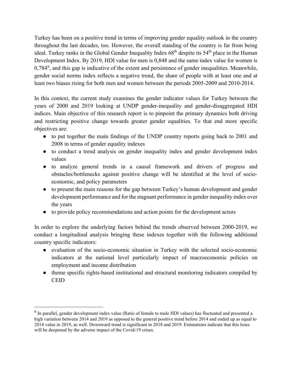Turkey has been on a positive trend in terms of improving gender equality outlook in the country throughout the last decades, too. However, the overall standing of the country is far from being ideal. Turkey ranks in the Global Gender Inequality Index 68<sup>th</sup> despite its 54<sup>th</sup> place in the Human Development Index. By 2019, HDI value for men is 0,848 and the same index value for women is 0,784<sup>[6](#page-9-0)</sup>, and this gap is indicative of the extent and persistence of gender inequalities. Meanwhile, gender social norms index reflects a negative trend, the share of people with at least one and at least two biases rising for both men and women between the periods 2005-2009 and 2010-2014.

In this context, the current study examines the gender indicator values for Turkey between the years of 2000 and 2019 looking at UNDP gender-inequality and gender-disaggregated HDI indices. Main objective of this research report is to pinpoint the primary dynamics both driving and restricting positive change towards greater gender equalities. To that end more specific objectives are:

- to put together the main findings of the UNDP country reports going back to 2001 and 2008 in terms of gender equality indexes
- to conduct a trend analysis on gender inequality index and gender development index values
- to analyze general trends in a causal framework and drivers of progress and obstacles/bottlenecks against positive change will be identified at the level of socioeconomic, and policy parameters
- to present the main reasons for the gap between Turkey's human development and gender development performance and for the stagnant performance in gender inequality index over the years
- to provide policy recommendations and action points for the development actors

In order to explore the underlying factors behind the trends observed between 2000-2019, we conduct a longitudinal analysis bringing these indexes together with the following additional country specific indicators:

- evaluation of the socio-economic situation in Turkey with the selected socio-economic indicators at the national level particularly impact of macroeconomic policies on employment and income distribution
- theme specific rights-based institutional and structural monitoring indicators compiled by CEID

<span id="page-9-0"></span><sup>&</sup>lt;sup>6</sup> In parallel, gender development index value (Ratio of female to male HDI values) has fluctuated and presented a high variation between 2014 and 2019 as opposed to the general positive trend before 2014 and ended up as equal to 2014 value in 2019, as well. Downward trend is significant in 2018 and 2019. Estimations indicate that this loses will be deepened by the adverse impact of the Covid-19 crises.